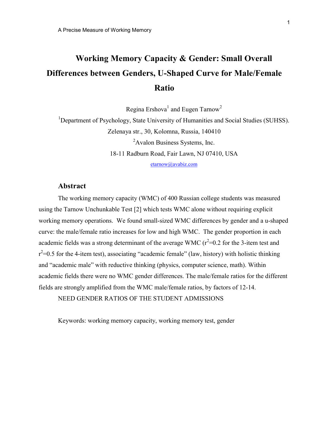# Working Memory Capacity & Gender: Small Overall Differences between Genders, U-Shaped Curve for Male/Female Ratio

Regina Ershova $^1$  and Eugen Tarnow $^2$ 

<sup>1</sup>Department of Psychology, State University of Humanities and Social Studies (SUHSS). Zelenaya str., 30, Kolomna, Russia, 140410 <sup>2</sup>Avalon Business Systems, Inc. 18-11 Radburn Road, Fair Lawn, NJ 07410, USA

etarnow@avabiz.com

## Abstract

The working memory capacity (WMC) of 400 Russian college students was measured using the Tarnow Unchunkable Test [2] which tests WMC alone without requiring explicit working memory operations. We found small-sized WMC differences by gender and a u-shaped curve: the male/female ratio increases for low and high WMC. The gender proportion in each academic fields was a strong determinant of the average WMC ( $r^2$ =0.2 for the 3-item test and  $r^2$ =0.5 for the 4-item test), associating "academic female" (law, history) with holistic thinking and "academic male" with reductive thinking (physics, computer science, math). Within academic fields there were no WMC gender differences. The male/female ratios for the different fields are strongly amplified from the WMC male/female ratios, by factors of 12-14.

NEED GENDER RATIOS OF THE STUDENT ADMISSIONS

Keywords: working memory capacity, working memory test, gender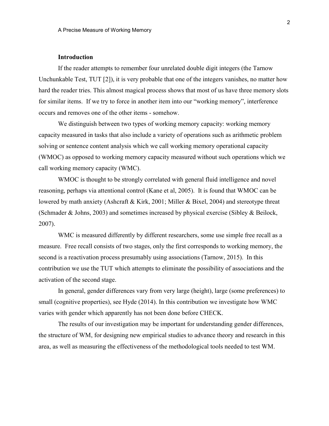#### Introduction

If the reader attempts to remember four unrelated double digit integers (the Tarnow Unchunkable Test, TUT  $[2]$ ), it is very probable that one of the integers vanishes, no matter how hard the reader tries. This almost magical process shows that most of us have three memory slots for similar items. If we try to force in another item into our "working memory", interference occurs and removes one of the other items - somehow.

We distinguish between two types of working memory capacity: working memory capacity measured in tasks that also include a variety of operations such as arithmetic problem solving or sentence content analysis which we call working memory operational capacity (WMOC) as opposed to working memory capacity measured without such operations which we call working memory capacity (WMC).

WMOC is thought to be strongly correlated with general fluid intelligence and novel reasoning, perhaps via attentional control (Kane et al, 2005). It is found that WMOC can be lowered by math anxiety (Ashcraft & Kirk, 2001; Miller & Bixel, 2004) and stereotype threat (Schmader & Johns, 2003) and sometimes increased by physical exercise (Sibley & Beilock, 2007).

WMC is measured differently by different researchers, some use simple free recall as a measure. Free recall consists of two stages, only the first corresponds to working memory, the second is a reactivation process presumably using associations (Tarnow, 2015). In this contribution we use the TUT which attempts to eliminate the possibility of associations and the activation of the second stage.

In general, gender differences vary from very large (height), large (some preferences) to small (cognitive properties), see Hyde (2014). In this contribution we investigate how WMC varies with gender which apparently has not been done before CHECK.

The results of our investigation may be important for understanding gender differences, the structure of WM, for designing new empirical studies to advance theory and research in this area, as well as measuring the effectiveness of the methodological tools needed to test WM.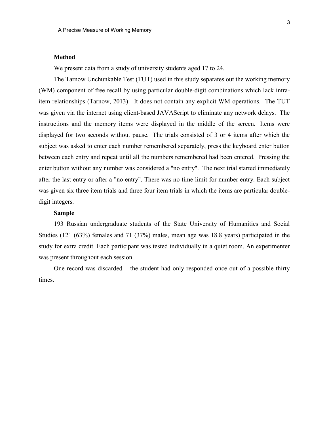#### Method

We present data from a study of university students aged 17 to 24.

The Tarnow Unchunkable Test (TUT) used in this study separates out the working memory (WM) component of free recall by using particular double-digit combinations which lack intraitem relationships (Tarnow, 2013). It does not contain any explicit WM operations. The TUT was given via the internet using client-based JAVAScript to eliminate any network delays. The instructions and the memory items were displayed in the middle of the screen. Items were displayed for two seconds without pause. The trials consisted of 3 or 4 items after which the subject was asked to enter each number remembered separately, press the keyboard enter button between each entry and repeat until all the numbers remembered had been entered. Pressing the enter button without any number was considered a "no entry". The next trial started immediately after the last entry or after a "no entry". There was no time limit for number entry. Each subject was given six three item trials and three four item trials in which the items are particular doubledigit integers.

#### Sample

193 Russian undergraduate students of the State University of Humanities and Social Studies (121 (63%) females and 71 (37%) males, mean age was 18.8 years) participated in the study for extra credit. Each participant was tested individually in a quiet room. An experimenter was present throughout each session.

One record was discarded – the student had only responded once out of a possible thirty times.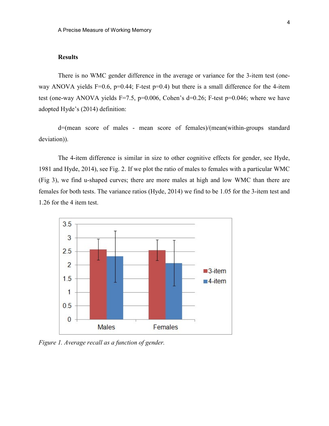## **Results**

There is no WMC gender difference in the average or variance for the 3-item test (oneway ANOVA yields F=0.6, p=0.44; F-test p=0.4) but there is a small difference for the 4-item test (one-way ANOVA yields F=7.5, p=0.006, Cohen's d=0.26; F-test p=0.046; where we have adopted Hyde's (2014) definition:

d=(mean score of males - mean score of females)/(mean(within-groups standard deviation)).

The 4-item difference is similar in size to other cognitive effects for gender, see Hyde, 1981 and Hyde, 2014), see Fig. 2. If we plot the ratio of males to females with a particular WMC (Fig 3), we find u-shaped curves; there are more males at high and low WMC than there are females for both tests. The variance ratios (Hyde, 2014) we find to be 1.05 for the 3-item test and 1.26 for the 4 item test.



Figure 1. Average recall as a function of gender.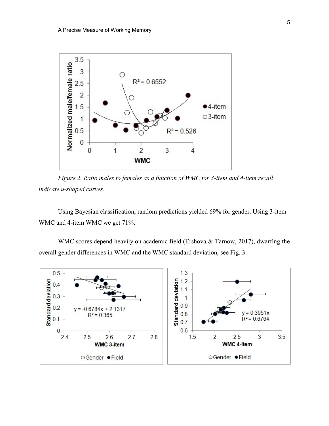

Figure 2. Ratio males to females as a function of WMC for 3-item and 4-item recall indicate u-shaped curves.

Using Bayesian classification, random predictions yielded 69% for gender. Using 3-item WMC and 4-item WMC we get 71%.

WMC scores depend heavily on academic field (Ershova & Tarnow, 2017), dwarfing the overall gender differences in WMC and the WMC standard deviation, see Fig. 3.

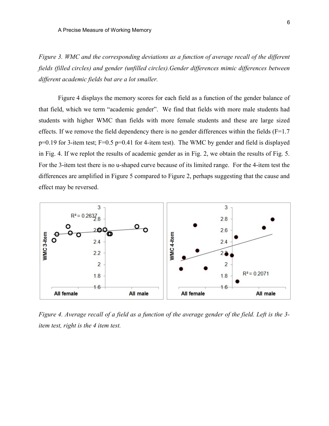Figure 3. WMC and the corresponding deviations as a function of average recall of the different fields (filled circles) and gender (unfilled circles).Gender differences mimic differences between different academic fields but are a lot smaller.

Figure 4 displays the memory scores for each field as a function of the gender balance of that field, which we term "academic gender". We find that fields with more male students had students with higher WMC than fields with more female students and these are large sized effects. If we remove the field dependency there is no gender differences within the fields  $(F=1.7)$ p=0.19 for 3-item test; F=0.5 p=0.41 for 4-item test). The WMC by gender and field is displayed in Fig. 4. If we replot the results of academic gender as in Fig. 2, we obtain the results of Fig. 5. For the 3-item test there is no u-shaped curve because of its limited range. For the 4-item test the differences are amplified in Figure 5 compared to Figure 2, perhaps suggesting that the cause and effect may be reversed.



Figure 4. Average recall of a field as a function of the average gender of the field. Left is the 3 item test, right is the 4 item test.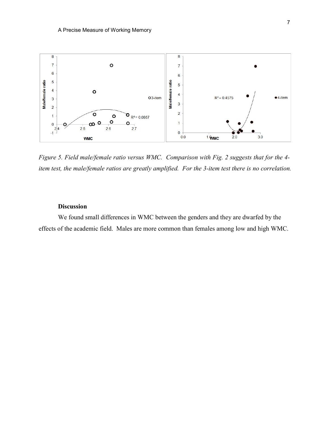

Figure 5. Field male/female ratio versus WMC. Comparison with Fig. 2 suggests that for the 4 item test, the male/female ratios are greatly amplified. For the 3-item test there is no correlation.

## Discussion

We found small differences in WMC between the genders and they are dwarfed by the effects of the academic field. Males are more common than females among low and high WMC.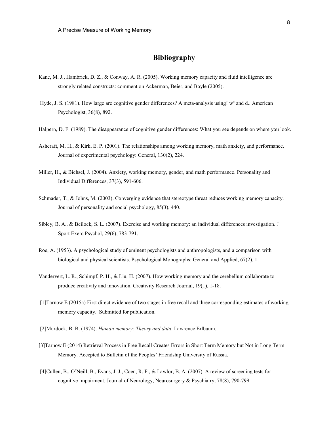## Bibliography

- Kane, M. J., Hambrick, D. Z., & Conway, A. R. (2005). Working memory capacity and fluid intelligence are strongly related constructs: comment on Ackerman, Beier, and Boyle (2005).
- Hyde, J. S. (1981). How large are cognitive gender differences? A meta-analysis using! w<sup>2</sup> and d.. American Psychologist, 36(8), 892.
- Halpern, D. F. (1989). The disappearance of cognitive gender differences: What you see depends on where you look.
- Ashcraft, M. H., & Kirk, E. P. (2001). The relationships among working memory, math anxiety, and performance. Journal of experimental psychology: General, 130(2), 224.
- Miller, H., & Bichsel, J. (2004). Anxiety, working memory, gender, and math performance. Personality and Individual Differences, 37(3), 591-606.
- Schmader, T., & Johns, M. (2003). Converging evidence that stereotype threat reduces working memory capacity. Journal of personality and social psychology, 85(3), 440.
- Sibley, B. A., & Beilock, S. L. (2007). Exercise and working memory: an individual differences investigation. J Sport Exerc Psychol, 29(6), 783-791.
- Roe, A. (1953). A psychological study of eminent psychologists and anthropologists, and a comparison with biological and physical scientists. Psychological Monographs: General and Applied, 67(2), 1.
- Vandervert, L. R., Schimpf, P. H., & Liu, H. (2007). How working memory and the cerebellum collaborate to produce creativity and innovation. Creativity Research Journal, 19(1), 1-18.
- [1]Tarnow E (2015a) First direct evidence of two stages in free recall and three corresponding estimates of working memory capacity. Submitted for publication.
- [2]Murdock, B. B. (1974). Human memory: Theory and data. Lawrence Erlbaum.
- [3]Tarnow E (2014) Retrieval Process in Free Recall Creates Errors in Short Term Memory but Not in Long Term Memory. Accepted to Bulletin of the Peoples' Friendship University of Russia.
- [4]Cullen, B., O'Neill, B., Evans, J. J., Coen, R. F., & Lawlor, B. A. (2007). A review of screening tests for cognitive impairment. Journal of Neurology, Neurosurgery & Psychiatry, 78(8), 790-799.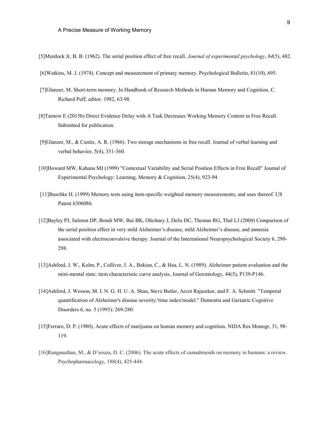- [6]Watkins, M. J. (1974). Concept and measurement of primary memory. Psychological Bulletin, 81(10), 695.
- [7]Glanzer, M. Short-term memory. In Handbook of Research Methods in Human Memory and Cognition. C. Richard Puff, editor. 1982, 63-98.
- [8]Tarnow E (2015b) Direct Evidence Delay with A Task Decreases Working Memory Content in Free Recall. Submitted for publication.
- [9]Glanzer, M., & Cunitz, A. R. (1966). Two storage mechanisms in free recall. Journal of verbal learning and verbal behavior, 5(4), 351-360.
- [10]Howard MW, Kahana MJ (1999) "Contextual Variability and Serial Position Effects in Free Recall" Journal of Experimental Psychology: Learning, Memory & Cognition, 25(4), 923-94
- [11]Buschke H. (1999) Memory tests using item-specific weighted memory measurements; and uses thereof. US Patent 6306086.
- [12]Bayley PJ, Salmon DP, Bondi MW, Bui BK, Olichney J, Delis DC, Thomas RG, Thal LJ (2000) Comparison of the serial position effect in very mild Alzheimer's disease, mild Alzheimer's disease, and amnesia associated with electroconvulsive therapy. Journal of the International Neuropsychological Society 6, 290- 298.
- [13]Ashford, J. W., Kolm, P., Colliver, J. A., Bekian, C., & Hsu, L. N. (1989). Alzheimer patient evaluation and the mini-mental state: item characteristic curve analysis. Journal of Gerontology, 44(5), P139-P146.
- [14]Ashford, J. Wesson, M. I. N. G. H. U. A. Shan, Steve Butler, Arcot Rajasekar, and F. A. Schmitt. "Temporal quantification of Alzheimer's disease severity:'time index'model." Dementia and Geriatric Cognitive Disorders 6, no. 5 (1995): 269-280.
- [15]Ferraro, D. P. (1980). Acute effects of marijuana on human memory and cognition. NIDA Res Monogr, 31, 98- 119.
- [16]Ranganathan, M., & D'souza, D. C. (2006). The acute effects of cannabinoids on memory in humans: a review. Psychopharmacology, 188(4), 425-444.